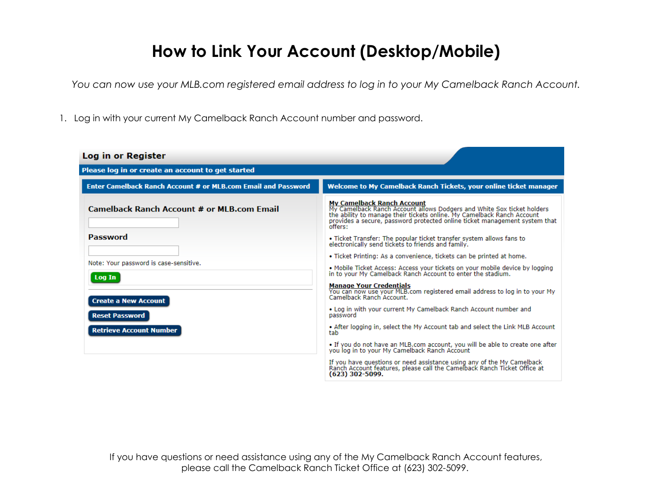## **How to Link Your Account (Desktop/Mobile)**

*You can now use your MLB.com registered email address to log in to your My Camelback Ranch Account.*

1. Log in with your current My Camelback Ranch Account number and password.

| Log in or Register                                                                                                                         |                                                                                                                                                                                                                                                                                                                                                                                                                                                                                                                                                                                                                                                                           |  |  |  |  |  |  |  |
|--------------------------------------------------------------------------------------------------------------------------------------------|---------------------------------------------------------------------------------------------------------------------------------------------------------------------------------------------------------------------------------------------------------------------------------------------------------------------------------------------------------------------------------------------------------------------------------------------------------------------------------------------------------------------------------------------------------------------------------------------------------------------------------------------------------------------------|--|--|--|--|--|--|--|
| Please log in or create an account to get started                                                                                          |                                                                                                                                                                                                                                                                                                                                                                                                                                                                                                                                                                                                                                                                           |  |  |  |  |  |  |  |
| Enter Camelback Ranch Account # or MLB.com Email and Password                                                                              | Welcome to My Camelback Ranch Tickets, your online ticket manager                                                                                                                                                                                                                                                                                                                                                                                                                                                                                                                                                                                                         |  |  |  |  |  |  |  |
| <b>Camelback Ranch Account # or MLB.com Email</b>                                                                                          | <b>My Camelback Ranch Account</b><br>My Camelback Ranch Account allows Dodgers and White Sox ticket holders<br>the ability to manage their tickets online. My Camelback Ranch Account<br>provides a secure, password protected online ticket management system that<br>offers:                                                                                                                                                                                                                                                                                                                                                                                            |  |  |  |  |  |  |  |
| Password                                                                                                                                   | • Ticket Transfer: The popular ticket transfer system allows fans to<br>electronically send tickets to friends and family.                                                                                                                                                                                                                                                                                                                                                                                                                                                                                                                                                |  |  |  |  |  |  |  |
| Note: Your password is case-sensitive.<br>Log In<br><b>Create a New Account</b><br><b>Reset Password</b><br><b>Retrieve Account Number</b> | • Ticket Printing: As a convenience, tickets can be printed at home.<br>. Mobile Ticket Access: Access your tickets on your mobile device by logging<br>in to your My Camelback Ranch Account to enter the stadium.<br><b>Manage Your Credentials</b><br>You can now use your MLB.com registered email address to log in to your My<br>Camelback Ranch Account.<br>• Log in with your current My Camelback Ranch Account number and<br>password<br>• After logging in, select the My Account tab and select the Link MLB Account<br>tab<br>• If you do not have an MLB.com account, you will be able to create one after<br>you log in to your My Camelback Ranch Account |  |  |  |  |  |  |  |
|                                                                                                                                            | If you have questions or need assistance using any of the My Camelback<br>Ranch Account features, please call the Camelback Ranch Ticket Office at<br>(623) 302-5099.                                                                                                                                                                                                                                                                                                                                                                                                                                                                                                     |  |  |  |  |  |  |  |

If you have questions or need assistance using any of the My Camelback Ranch Account features, please call the Camelback Ranch Ticket Office at (623) 302-5099.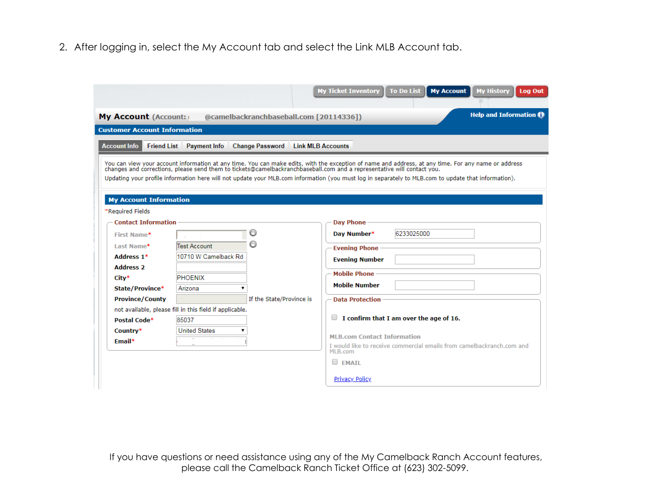2. After logging in, select the My Account tab and select the Link MLB Account tab.

|                                                                                                                                                                                                                                                                                                                                                                                          |                                                         |                                         | <b>To Do List</b><br><b>My Ticket Inventory</b><br><b>My Account</b><br><b>My History</b> | Log Out |  |  |  |  |  |
|------------------------------------------------------------------------------------------------------------------------------------------------------------------------------------------------------------------------------------------------------------------------------------------------------------------------------------------------------------------------------------------|---------------------------------------------------------|-----------------------------------------|-------------------------------------------------------------------------------------------|---------|--|--|--|--|--|
| My Account (Account:                                                                                                                                                                                                                                                                                                                                                                     |                                                         | @camelbackranchbaseball.com [20114336]) | <b>Help and Information @</b>                                                             |         |  |  |  |  |  |
| <b>Customer Account Information</b>                                                                                                                                                                                                                                                                                                                                                      |                                                         |                                         |                                                                                           |         |  |  |  |  |  |
| <b>Account Info</b><br><b>Friend List</b>                                                                                                                                                                                                                                                                                                                                                | <b>Payment Info</b>                                     | <b>Change Password</b>                  | <b>Link MLB Accounts</b>                                                                  |         |  |  |  |  |  |
| You can view your account information at any time. You can make edits, with the exception of name and address, at any time. For any name or address<br>changes and corrections, please send them to tickets@camelbackranchbasebal<br>Updating your profile information here will not update your MLB.com information (you must log in separately to MLB.com to update that information). |                                                         |                                         |                                                                                           |         |  |  |  |  |  |
| <b>My Account Information</b><br>*Required Fields                                                                                                                                                                                                                                                                                                                                        |                                                         |                                         |                                                                                           |         |  |  |  |  |  |
| <b>Contact Information</b>                                                                                                                                                                                                                                                                                                                                                               |                                                         |                                         | <b>Day Phone</b>                                                                          |         |  |  |  |  |  |
| First Name*                                                                                                                                                                                                                                                                                                                                                                              |                                                         |                                         | 6233025000<br>Day Number*                                                                 |         |  |  |  |  |  |
| Last Name*                                                                                                                                                                                                                                                                                                                                                                               | Test Account                                            |                                         | <b>Evening Phone</b>                                                                      |         |  |  |  |  |  |
| Address 1*                                                                                                                                                                                                                                                                                                                                                                               | 10710 W Camelback Rd                                    |                                         | <b>Evening Number</b>                                                                     |         |  |  |  |  |  |
| Address 2                                                                                                                                                                                                                                                                                                                                                                                |                                                         |                                         | <b>Mobile Phone</b>                                                                       |         |  |  |  |  |  |
| City*                                                                                                                                                                                                                                                                                                                                                                                    | <b>PHOENIX</b>                                          |                                         | <b>Mobile Number</b>                                                                      |         |  |  |  |  |  |
| State/Province*                                                                                                                                                                                                                                                                                                                                                                          | Arizona                                                 |                                         |                                                                                           |         |  |  |  |  |  |
| <b>Province/County</b>                                                                                                                                                                                                                                                                                                                                                                   |                                                         | If the State/Province is                | <b>Data Protection</b>                                                                    |         |  |  |  |  |  |
|                                                                                                                                                                                                                                                                                                                                                                                          | not available, please fill in this field if applicable. |                                         |                                                                                           |         |  |  |  |  |  |
| Postal Code*                                                                                                                                                                                                                                                                                                                                                                             | 85037                                                   |                                         | I confirm that I am over the age of 16.                                                   |         |  |  |  |  |  |
| Country*                                                                                                                                                                                                                                                                                                                                                                                 | <b>United States</b>                                    |                                         | <b>MLB.com Contact Information</b>                                                        |         |  |  |  |  |  |
| Email*                                                                                                                                                                                                                                                                                                                                                                                   |                                                         |                                         | I would like to receive commercial emails from camelbackranch.com and                     |         |  |  |  |  |  |
|                                                                                                                                                                                                                                                                                                                                                                                          |                                                         |                                         | MLB.com<br>$\Box$ FMATI                                                                   |         |  |  |  |  |  |
|                                                                                                                                                                                                                                                                                                                                                                                          |                                                         |                                         | <b>Privacy Policy</b>                                                                     |         |  |  |  |  |  |

If you have questions or need assistance using any of the My Camelback Ranch Account features, please call the Camelback Ranch Ticket Office at (623) 302-5099.